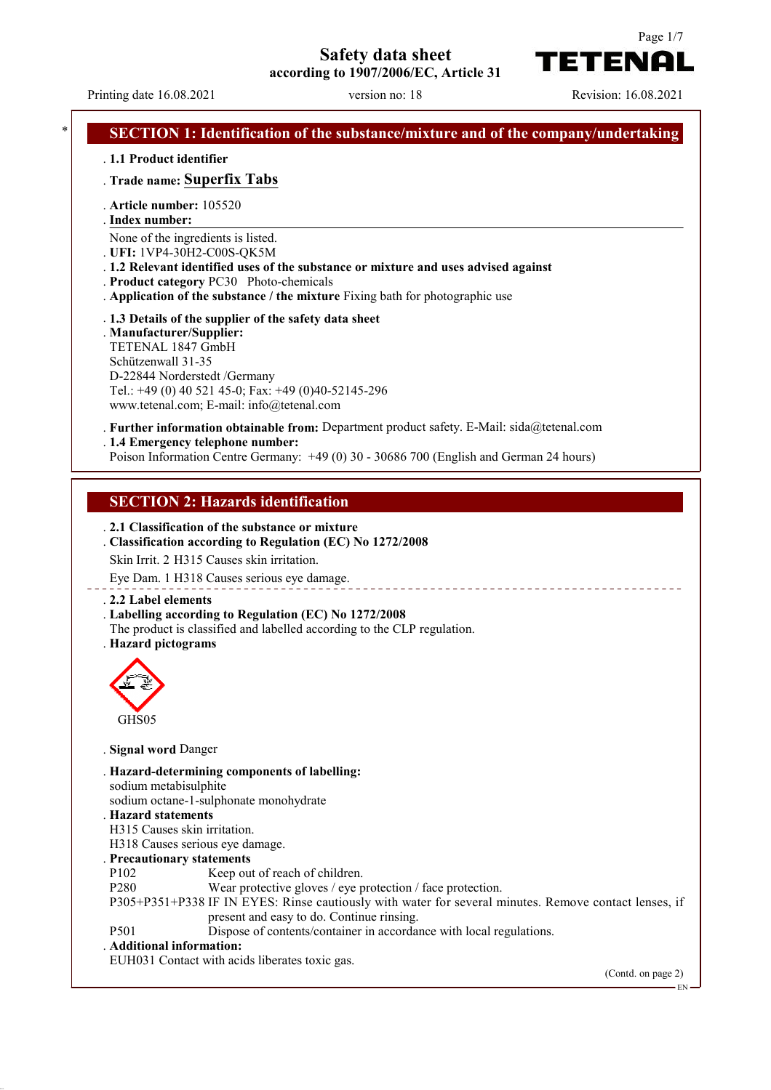**Safety data sheet**

**according to 1907/2006/EC, Article 31**

Printing date 16.08.2021 version no: 18 Revision: 16.08.2021

TETENAI

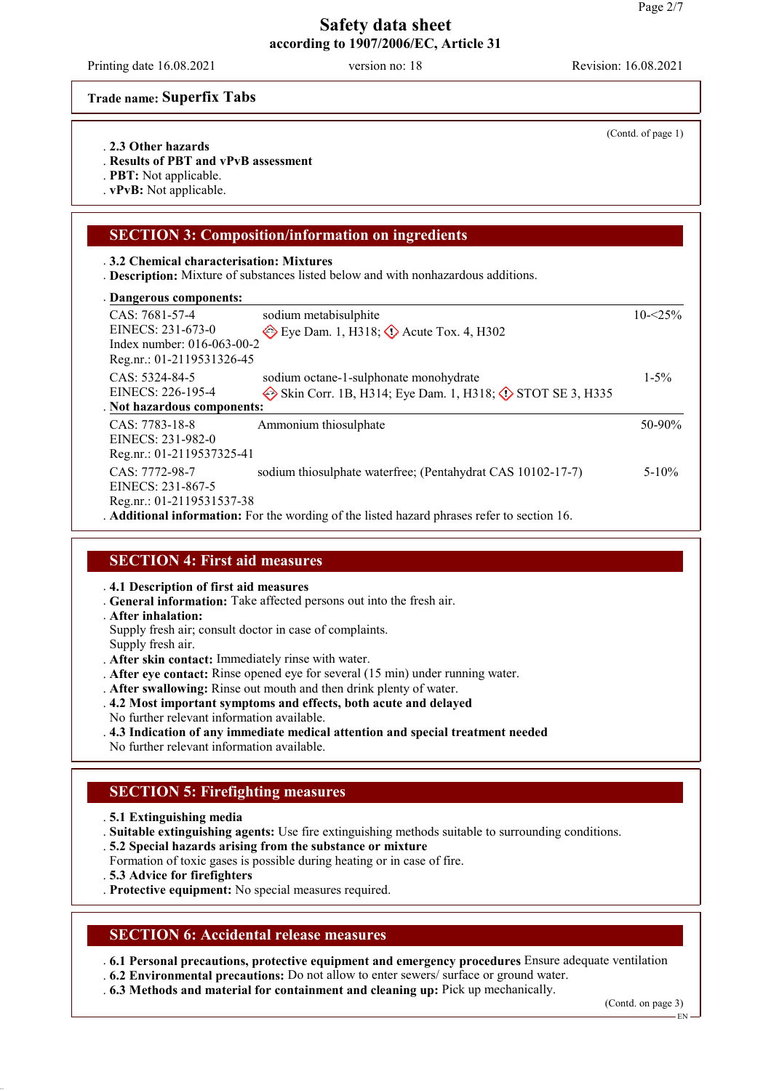Printing date 16.08.2021 version no: 18 Revision: 16.08.2021

**Trade name: Superfix Tabs**

- . **2.3 Other hazards**
- . **Results of PBT and vPvB assessment**
- . **PBT:** Not applicable.
- . **vPvB:** Not applicable.

## **SECTION 3: Composition/information on ingredients**

#### . **3.2 Chemical characterisation: Mixtures**

. **Description:** Mixture of substances listed below and with nonhazardous additions.

| Dangerous components:      |                                                                                             |             |
|----------------------------|---------------------------------------------------------------------------------------------|-------------|
| CAS: 7681-57-4             | sodium metabisulphite                                                                       | $10 - 25\%$ |
| EINECS: 231-673-0          | $\leftrightarrow$ Eye Dam. 1, H318; $\leftrightarrow$ Acute Tox. 4, H302                    |             |
| Index number: 016-063-00-2 |                                                                                             |             |
| Reg.nr.: 01-2119531326-45  |                                                                                             |             |
| CAS: 5324-84-5             | sodium octane-1-sulphonate monohydrate                                                      | $1 - 5\%$   |
| EINECS: 226-195-4          | Skin Corr. 1B, H314; Eye Dam. 1, H318; $\circled{}$ STOT SE 3, H335                         |             |
| Not hazardous components:  |                                                                                             |             |
| $CAS: 7783-18-8$           | Ammonium thiosulphate                                                                       | $50-90%$    |
| EINECS: 231-982-0          |                                                                                             |             |
| Reg.nr.: 01-2119537325-41  |                                                                                             |             |
| CAS: 7772-98-7             | sodium thiosulphate waterfree; (Pentahydrat CAS 10102-17-7)                                 | $5 - 10\%$  |
| EINECS: 231-867-5          |                                                                                             |             |
| Reg.nr.: 01-2119531537-38  |                                                                                             |             |
|                            | . Additional information: For the wording of the listed hazard phrases refer to section 16. |             |

## **SECTION 4: First aid measures**

- . **4.1 Description of first aid measures**
- . **General information:** Take affected persons out into the fresh air.
- . **After inhalation:**
- Supply fresh air; consult doctor in case of complaints.
- Supply fresh air.
- . **After skin contact:** Immediately rinse with water.
- . **After eye contact:** Rinse opened eye for several (15 min) under running water.
- . **After swallowing:** Rinse out mouth and then drink plenty of water.
- . **4.2 Most important symptoms and effects, both acute and delayed**
- No further relevant information available.
- . **4.3 Indication of any immediate medical attention and special treatment needed**
- No further relevant information available.

# **SECTION 5: Firefighting measures**

- . **5.1 Extinguishing media**
- . **Suitable extinguishing agents:** Use fire extinguishing methods suitable to surrounding conditions.
- . **5.2 Special hazards arising from the substance or mixture**
- Formation of toxic gases is possible during heating or in case of fire.
- . **5.3 Advice for firefighters**
- . **Protective equipment:** No special measures required.

### **SECTION 6: Accidental release measures**

. **6.1 Personal precautions, protective equipment and emergency procedures** Ensure adequate ventilation

- . **6.2 Environmental precautions:** Do not allow to enter sewers/ surface or ground water.
- . **6.3 Methods and material for containment and cleaning up:** Pick up mechanically.

(Contd. on page 3)

(Contd. of page 1)

EN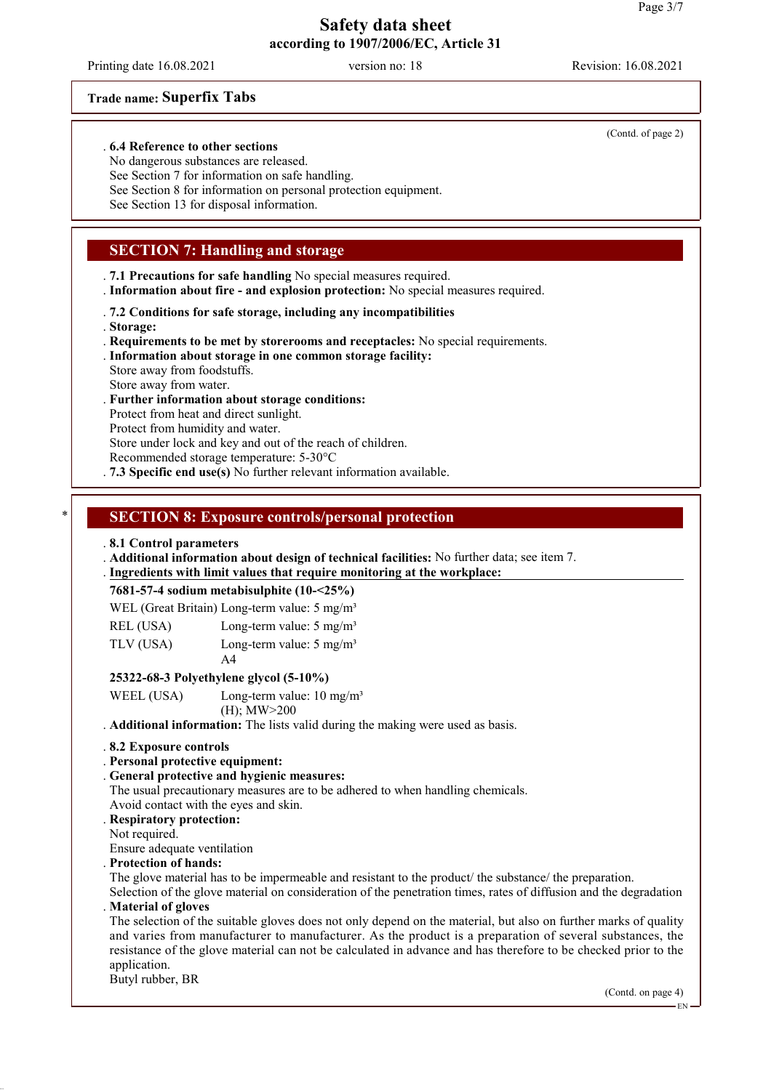Printing date 16.08.2021 version no: 18 Revision: 16.08.2021

### **Trade name: Superfix Tabs**

#### . **6.4 Reference to other sections**

No dangerous substances are released.

See Section 7 for information on safe handling.

See Section 8 for information on personal protection equipment.

See Section 13 for disposal information.

## **SECTION 7: Handling and storage**

- . **7.1 Precautions for safe handling** No special measures required.
- . **Information about fire and explosion protection:** No special measures required.
- . **7.2 Conditions for safe storage, including any incompatibilities**
- . **Storage:**
- . **Requirements to be met by storerooms and receptacles:** No special requirements.
- . **Information about storage in one common storage facility:**

Store away from foodstuffs.

Store away from water.

#### . **Further information about storage conditions:**

Protect from heat and direct sunlight.

Protect from humidity and water.

Store under lock and key and out of the reach of children.

Recommended storage temperature: 5-30°C

. **7.3 Specific end use(s)** No further relevant information available.

## \* **SECTION 8: Exposure controls/personal protection**

#### . **8.1 Control parameters**

. **Additional information about design of technical facilities:** No further data; see item 7.

. Ingredients with limit values that require monitoring at the workplace:

#### **7681-57-4 sodium metabisulphite (10-<25%)**

| WEL (Great Britain) Long-term value: 5 mg/m <sup>3</sup> |  |  |  |
|----------------------------------------------------------|--|--|--|
|----------------------------------------------------------|--|--|--|

| REL (USA) | Long-term value: $5 \text{ mg/m}^3$ |  |
|-----------|-------------------------------------|--|
|           |                                     |  |

TLV (USA) Long-term value: 5 mg/m<sup>3</sup>  $A<sub>4</sub>$ 

### **25322-68-3 Polyethylene glycol (5-10%)**

WEEL (USA) Long-term value:  $10 \text{ mg/m}^3$ 

(H); MW>200

. **Additional information:** The lists valid during the making were used as basis.

#### . **8.2 Exposure controls**

## . **Personal protective equipment:**

#### . **General protective and hygienic measures:**

The usual precautionary measures are to be adhered to when handling chemicals.

Avoid contact with the eyes and skin.

## . **Respiratory protection:**

Not required.

Ensure adequate ventilation

### . **Protection of hands:**

The glove material has to be impermeable and resistant to the product/ the substance/ the preparation.

Selection of the glove material on consideration of the penetration times, rates of diffusion and the degradation . **Material of gloves**

The selection of the suitable gloves does not only depend on the material, but also on further marks of quality and varies from manufacturer to manufacturer. As the product is a preparation of several substances, the resistance of the glove material can not be calculated in advance and has therefore to be checked prior to the application.

Butyl rubber, BR

(Contd. on page 4)

(Contd. of page 2)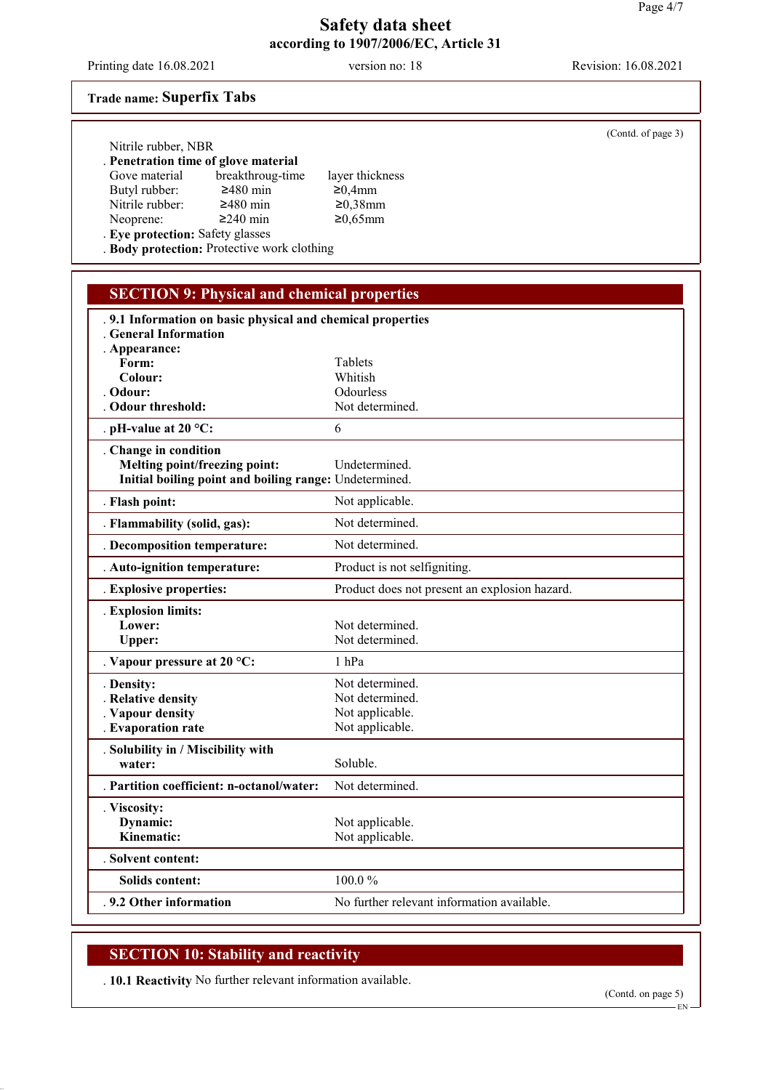Printing date 16.08.2021 version no: 18 Revision: 16.08.2021

### **Trade name: Superfix Tabs**

### . **Penetration time of glove material**

Gove material breakthroug-time layer thickness<br>Butyl rubber:  $\geq 480$  min  $\geq 0.4$ mm

Neoprene:

Nitrile rubber:  $\geq 480$  min  $\geq 0.38$ mm<br>Neoprene:  $\geq 240$  min  $\geq 0.65$ mm

Butyl rubber:  $\geq 480 \text{ min}$   $\geq 0.4 \text{ mm}$ <br>Nitrile rubber:  $\geq 480 \text{ min}$   $\geq 0.38 \text{ mm}$ 

. **Eye protection:** Safety glasses

. **Body protection:** Protective work clothing

# **SECTION 9: Physical and chemical properties** . **9.1 Information on basic physical and chemical properties** . **General Information** . **Appearance:** Form: Tablets **Colour:** Whitish **Odour:** Odourless . Odour threshold: Not determined. . **pH-value at 20 °C:** 6 . **Change in condition Melting point/freezing point:** Undetermined. **Initial boiling point and boiling range:** Undetermined. . **Flash point:** Not applicable. . **Flammability (solid, gas):** Not determined. . **Decomposition temperature:** Not determined. . **Auto-ignition temperature:** Product is not selfigniting. . **Explosive properties:** Product does not present an explosion hazard. . **Explosion limits:** Lower: Not determined. Upper: Not determined. . **Vapour pressure at 20 °C:** 1 hPa . **Density:** Not determined. . **Relative density** Not determined. **Vapour density** Not applicable.<br> **Evaporation rate** Not applicable. . Evaporation rate . **Solubility in / Miscibility with** water: Soluble. . **Partition coefficient: n-octanol/water:** Not determined. . **Viscosity: Dynamic:** Not applicable. **Kinematic:** Not applicable. . **Solvent content: Solids content:** 100.0 % **9.2 Other information** No further relevant information available.

# **SECTION 10: Stability and reactivity**

. **10.1 Reactivity** No further relevant information available.

(Contd. of page 3)

EN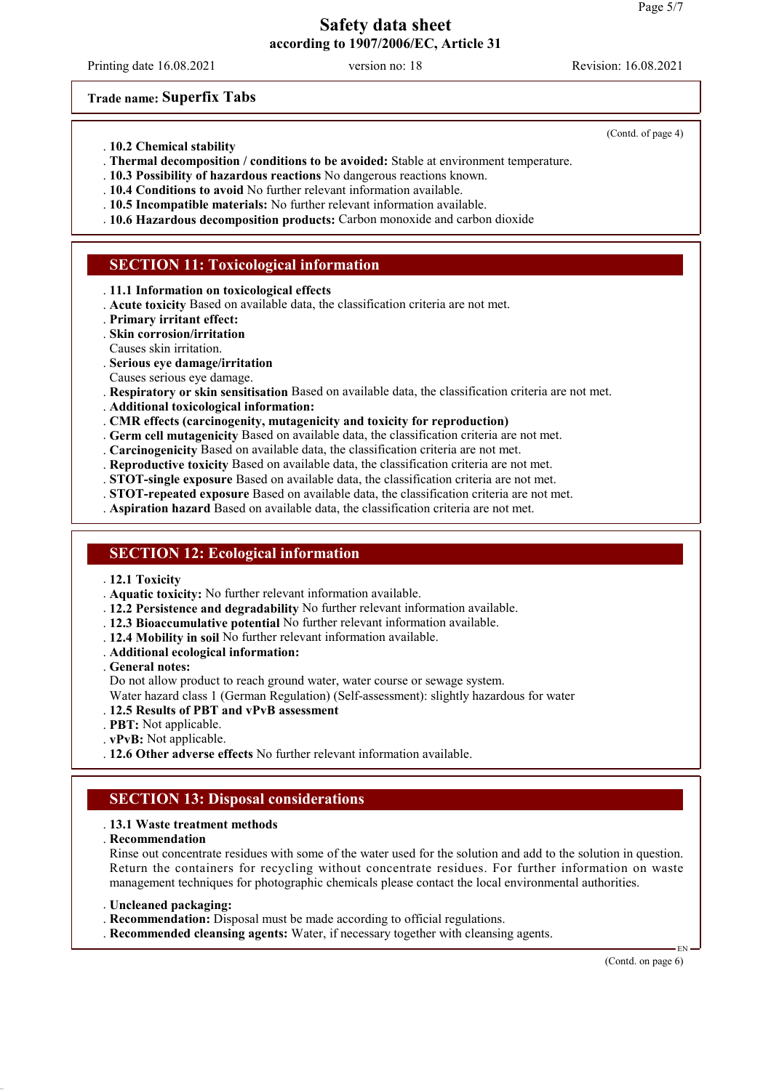Printing date 16.08.2021 version no: 18 Revision: 16.08.2021

**Trade name: Superfix Tabs**

- . **10.2 Chemical stability**
- . **Thermal decomposition / conditions to be avoided:** Stable at environment temperature.
- . **10.3 Possibility of hazardous reactions** No dangerous reactions known.
- . **10.4 Conditions to avoid** No further relevant information available.
- . **10.5 Incompatible materials:** No further relevant information available.
- . **10.6 Hazardous decomposition products:** Carbon monoxide and carbon dioxide

## **SECTION 11: Toxicological information**

- . **11.1 Information on toxicological effects**
- . **Acute toxicity** Based on available data, the classification criteria are not met.
- . **Primary irritant effect:**
- . **Skin corrosion/irritation**
- Causes skin irritation.
- . **Serious eye damage/irritation**
- Causes serious eye damage.
- . **Respiratory or skin sensitisation** Based on available data, the classification criteria are not met.
- . **Additional toxicological information:**
- . **CMR effects (carcinogenity, mutagenicity and toxicity for reproduction)**
- . **Germ cell mutagenicity** Based on available data, the classification criteria are not met.
- . **Carcinogenicity** Based on available data, the classification criteria are not met.
- . **Reproductive toxicity** Based on available data, the classification criteria are not met.
- . **STOT-single exposure** Based on available data, the classification criteria are not met.
- . **STOT-repeated exposure** Based on available data, the classification criteria are not met.
- . **Aspiration hazard** Based on available data, the classification criteria are not met.

### **SECTION 12: Ecological information**

- . **12.1 Toxicity**
- . **Aquatic toxicity:** No further relevant information available.
- . **12.2 Persistence and degradability** No further relevant information available.
- . **12.3 Bioaccumulative potential** No further relevant information available.
- . **12.4 Mobility in soil** No further relevant information available.
- . **Additional ecological information:**
- . **General notes:**
- Do not allow product to reach ground water, water course or sewage system.
- Water hazard class 1 (German Regulation) (Self-assessment): slightly hazardous for water
- . **12.5 Results of PBT and vPvB assessment**
- . **PBT:** Not applicable.
- . **vPvB:** Not applicable.
- . **12.6 Other adverse effects** No further relevant information available.

### **SECTION 13: Disposal considerations**

#### . **13.1 Waste treatment methods**

. **Recommendation**

Rinse out concentrate residues with some of the water used for the solution and add to the solution in question. Return the containers for recycling without concentrate residues. For further information on waste management techniques for photographic chemicals please contact the local environmental authorities.

- . **Uncleaned packaging:**
- . **Recommendation:** Disposal must be made according to official regulations.
- . **Recommended cleansing agents:** Water, if necessary together with cleansing agents.

(Contd. on page 6)

(Contd. of page 4)

EN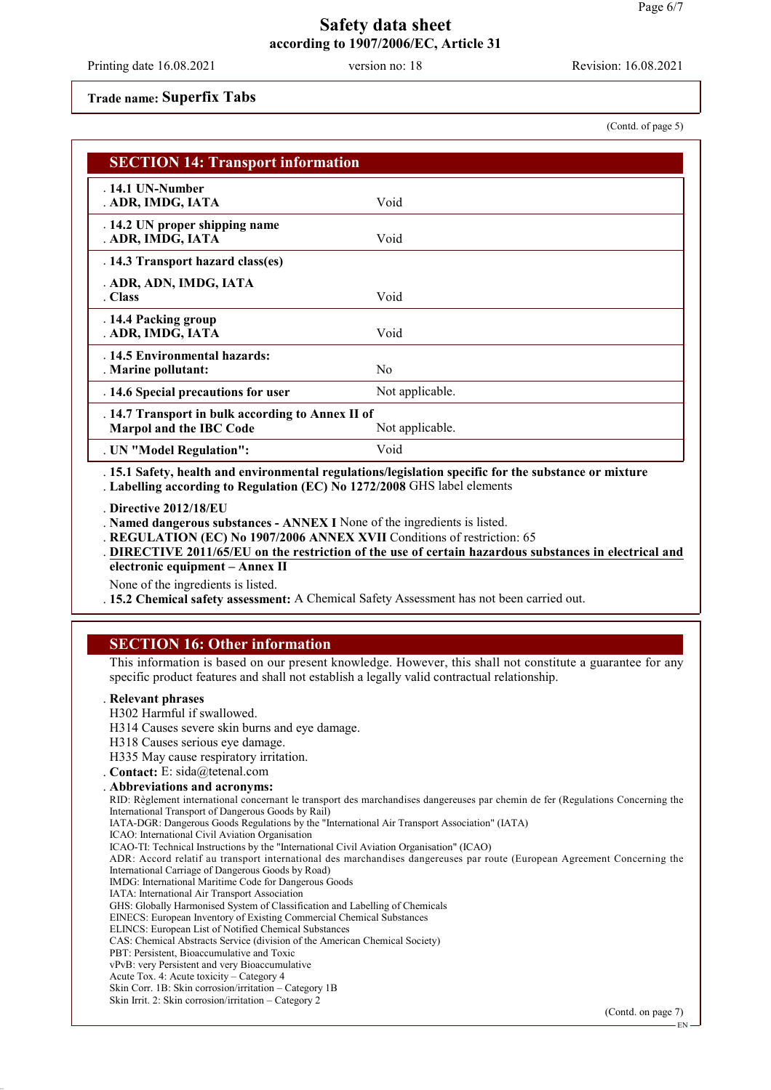Printing date 16.08.2021 version no: 18 Revision: 16.08.2021

#### **Trade name: Superfix Tabs**

(Contd. of page 5)

| <b>SECTION 14: Transport information</b>                                            |                 |  |
|-------------------------------------------------------------------------------------|-----------------|--|
| $.14.1$ UN-Number<br>. ADR, IMDG, IATA                                              | Void            |  |
| . 14.2 UN proper shipping name<br>. ADR, IMDG, IATA                                 | Void            |  |
| . 14.3 Transport hazard class(es)                                                   |                 |  |
| . ADR, ADN, IMDG, IATA<br>. Class                                                   | Void            |  |
| . 14.4 Packing group<br>. ADR, IMDG, IATA                                           | Void            |  |
| .14.5 Environmental hazards:<br>. Marine pollutant:                                 | N <sub>0</sub>  |  |
| . 14.6 Special precautions for user                                                 | Not applicable. |  |
| . 14.7 Transport in bulk according to Annex II of<br><b>Marpol and the IBC Code</b> | Not applicable. |  |
| . UN "Model Regulation":                                                            | Void            |  |

. **15.1 Safety, health and environmental regulations/legislation specific for the substance or mixture** . **Labelling according to Regulation (EC) No 1272/2008** GHS label elements

. **Directive 2012/18/EU**

. **Named dangerous substances - ANNEX I** None of the ingredients is listed.

. **REGULATION (EC) No 1907/2006 ANNEX XVII** Conditions of restriction: 65

**DIRECTIVE 2011/65/EU on the restriction of the use of certain hazardous substances in electrical and electronic equipment – Annex II**

None of the ingredients is listed.

. **15.2 Chemical safety assessment:** A Chemical Safety Assessment has not been carried out.

## **SECTION 16: Other information**

This information is based on our present knowledge. However, this shall not constitute a guarantee for any specific product features and shall not establish a legally valid contractual relationship.

#### . **Relevant phrases**

H302 Harmful if swallowed.

H314 Causes severe skin burns and eye damage.

H318 Causes serious eye damage.

H335 May cause respiratory irritation.

. **Contact:** E: sida@tetenal.com

. **Abbreviations and acronyms:**

RID: Règlement international concernant le transport des marchandises dangereuses par chemin de fer (Regulations Concerning the International Transport of Dangerous Goods by Rail)

IATA-DGR: Dangerous Goods Regulations by the "International Air Transport Association" (IATA)

ICAO: International Civil Aviation Organisation

ICAO-TI: Technical Instructions by the "International Civil Aviation Organisation" (ICAO)

ADR: Accord relatif au transport international des marchandises dangereuses par route (European Agreement Concerning the International Carriage of Dangerous Goods by Road)

IMDG: International Maritime Code for Dangerous Goods

IATA: International Air Transport Association

GHS: Globally Harmonised System of Classification and Labelling of Chemicals

EINECS: European Inventory of Existing Commercial Chemical Substances

ELINCS: European List of Notified Chemical Substances

CAS: Chemical Abstracts Service (division of the American Chemical Society)

PBT: Persistent, Bioaccumulative and Toxic

vPvB: very Persistent and very Bioaccumulative

Acute Tox. 4: Acute toxicity – Category 4 Skin Corr. 1B: Skin corrosion/irritation – Category 1B

Skin Irrit. 2: Skin corrosion/irritation – Category 2

(Contd. on page 7)

EN